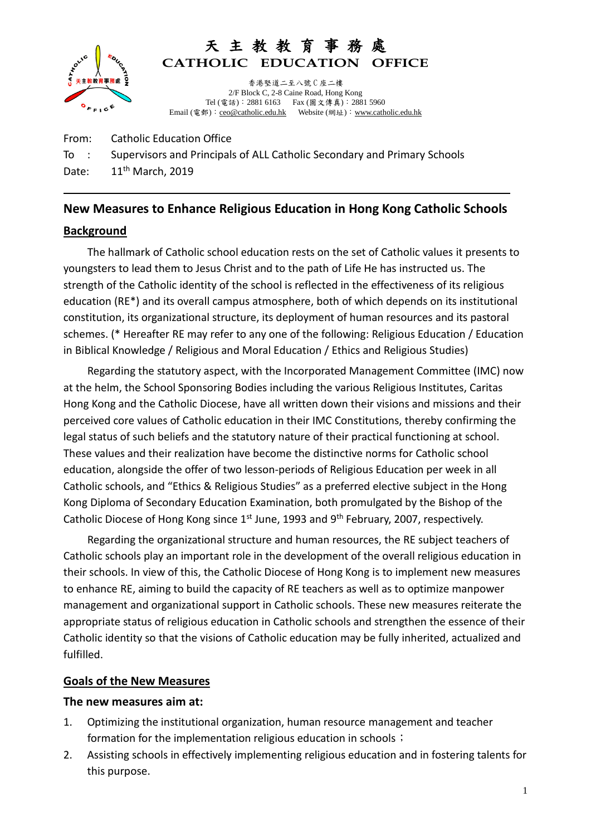

# 天 主 教 教 育 事 **CATHOLIC EDUCATION OFFICE**

香港堅道二至八號 C 座二樓 2/F Block C, 2-8 Caine Road, Hong Kong Tel (電話):2881 6163 Fax (圖文傳真):2881 5960 Email (電郵): [ceo@catholic.edu.hk](mailto:ceo@catholic.edu.hk) Website (網址): [www.catholic.edu.hk](http://www.catholic.edu.hk/)

From: Catholic Education Office To : Supervisors and Principals of ALL Catholic Secondary and Primary Schools Date:  $11<sup>th</sup>$  March, 2019

## **New Measures to Enhance Religious Education in Hong Kong Catholic Schools**

## **Background**

The hallmark of Catholic school education rests on the set of Catholic values it presents to youngsters to lead them to Jesus Christ and to the path of Life He has instructed us. The strength of the Catholic identity of the school is reflected in the effectiveness of its religious education (RE\*) and its overall campus atmosphere, both of which depends on its institutional constitution, its organizational structure, its deployment of human resources and its pastoral schemes. (\* Hereafter RE may refer to any one of the following: Religious Education / Education in Biblical Knowledge / Religious and Moral Education / Ethics and Religious Studies)

Regarding the statutory aspect, with the Incorporated Management Committee (IMC) now at the helm, the School Sponsoring Bodies including the various Religious Institutes, Caritas Hong Kong and the Catholic Diocese, have all written down their visions and missions and their perceived core values of Catholic education in their IMC Constitutions, thereby confirming the legal status of such beliefs and the statutory nature of their practical functioning at school. These values and their realization have become the distinctive norms for Catholic school education, alongside the offer of two lesson-periods of Religious Education per week in all Catholic schools, and "Ethics & Religious Studies" as a preferred elective subject in the Hong Kong Diploma of Secondary Education Examination, both promulgated by the Bishop of the Catholic Diocese of Hong Kong since 1<sup>st</sup> June, 1993 and 9<sup>th</sup> February, 2007, respectively.

Regarding the organizational structure and human resources, the RE subject teachers of Catholic schools play an important role in the development of the overall religious education in their schools. In view of this, the Catholic Diocese of Hong Kong is to implement new measures to enhance RE, aiming to build the capacity of RE teachers as well as to optimize manpower management and organizational support in Catholic schools. These new measures reiterate the appropriate status of religious education in Catholic schools and strengthen the essence of their Catholic identity so that the visions of Catholic education may be fully inherited, actualized and fulfilled.

## **Goals of the New Measures**

### **The new measures aim at:**

- 1. Optimizing the institutional organization, human resource management and teacher formation for the implementation religious education in schools;
- 2. Assisting schools in effectively implementing religious education and in fostering talents for this purpose.

l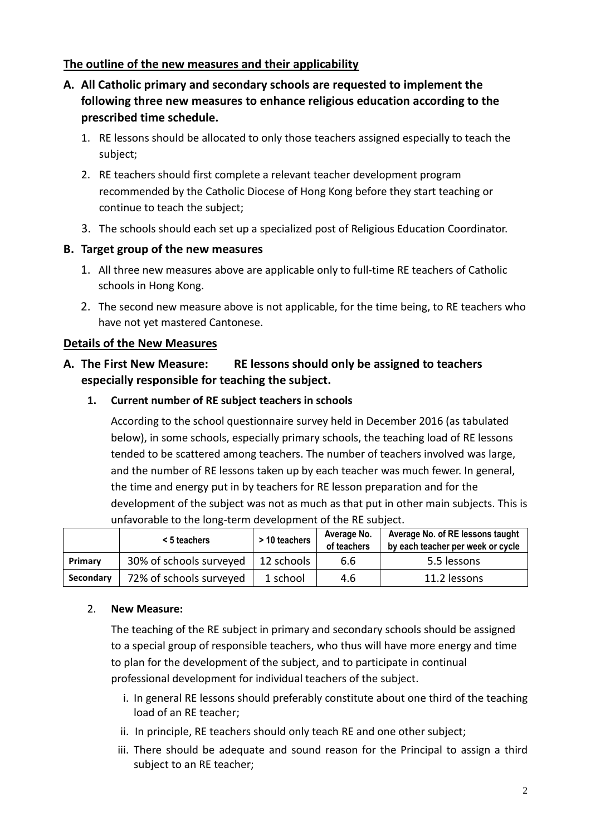## **The outline of the new measures and their applicability**

- **A. All Catholic primary and secondary schools are requested to implement the following three new measures to enhance religious education according to the prescribed time schedule.**
	- 1. RE lessons should be allocated to only those teachers assigned especially to teach the subject;
	- 2. RE teachers should first complete a relevant teacher development program recommended by the Catholic Diocese of Hong Kong before they start teaching or continue to teach the subject;
	- 3. The schools should each set up a specialized post of Religious Education Coordinator.

### **B. Target group of the new measures**

- 1. All three new measures above are applicable only to full-time RE teachers of Catholic schools in Hong Kong.
- 2. The second new measure above is not applicable, for the time being, to RE teachers who have not yet mastered Cantonese.

### **Details of the New Measures**

## **A. The First New Measure: RE lessons should only be assigned to teachers especially responsible for teaching the subject.**

**1. Current number of RE subject teachers in schools**

According to the school questionnaire survey held in December 2016 (as tabulated below), in some schools, especially primary schools, the teaching load of RE lessons tended to be scattered among teachers. The number of teachers involved was large, and the number of RE lessons taken up by each teacher was much fewer. In general, the time and energy put in by teachers for RE lesson preparation and for the development of the subject was not as much as that put in other main subjects. This is unfavorable to the long-term development of the RE subject.

|           | $<$ 5 teachers          | > 10 teachers | Average No.<br>of teachers | Average No. of RE lessons taught<br>by each teacher per week or cycle |
|-----------|-------------------------|---------------|----------------------------|-----------------------------------------------------------------------|
| Primary   | 30% of schools surveyed | 12 schools    | 6.6                        | 5.5 lessons                                                           |
| Secondary | 72% of schools surveyed | 1 school      | 4.6                        | 11.2 lessons                                                          |

### 2. **New Measure:**

The teaching of the RE subject in primary and secondary schools should be assigned to a special group of responsible teachers, who thus will have more energy and time to plan for the development of the subject, and to participate in continual professional development for individual teachers of the subject.

- i. In general RE lessons should preferably constitute about one third of the teaching load of an RE teacher;
- ii. In principle, RE teachers should only teach RE and one other subject;
- iii. There should be adequate and sound reason for the Principal to assign a third subject to an RE teacher;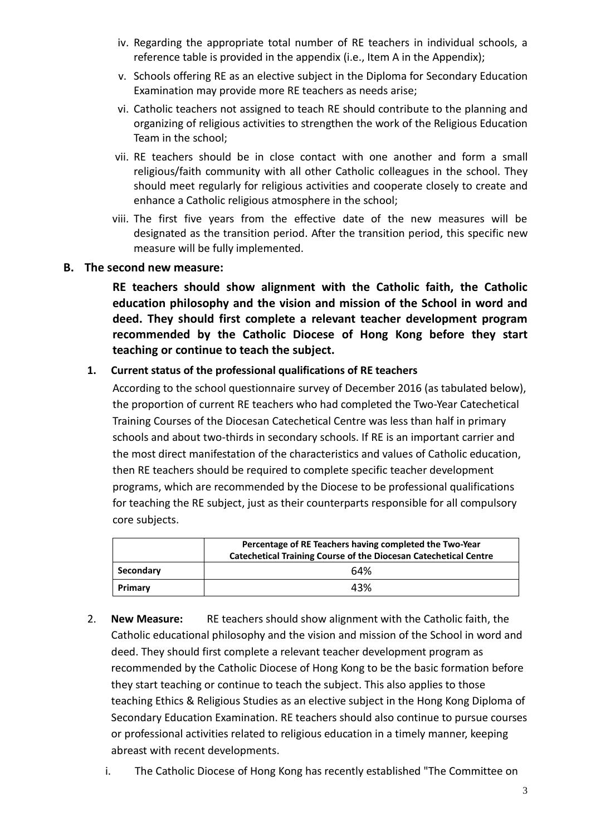- iv. Regarding the appropriate total number of RE teachers in individual schools, a reference table is provided in the appendix (i.e., Item A in the Appendix);
- v. Schools offering RE as an elective subject in the Diploma for Secondary Education Examination may provide more RE teachers as needs arise;
- vi. Catholic teachers not assigned to teach RE should contribute to the planning and organizing of religious activities to strengthen the work of the Religious Education Team in the school;
- vii. RE teachers should be in close contact with one another and form a small religious/faith community with all other Catholic colleagues in the school. They should meet regularly for religious activities and cooperate closely to create and enhance a Catholic religious atmosphere in the school;
- viii. The first five years from the effective date of the new measures will be designated as the transition period. After the transition period, this specific new measure will be fully implemented.

### **B. The second new measure:**

**RE teachers should show alignment with the Catholic faith, the Catholic education philosophy and the vision and mission of the School in word and deed. They should first complete a relevant teacher development program recommended by the Catholic Diocese of Hong Kong before they start teaching or continue to teach the subject.**

### **1. Current status of the professional qualifications of RE teachers**

According to the school questionnaire survey of December 2016 (as tabulated below), the proportion of current RE teachers who had completed the Two-Year Catechetical Training Courses of the Diocesan Catechetical Centre was less than half in primary schools and about two-thirds in secondary schools. If RE is an important carrier and the most direct manifestation of the characteristics and values of Catholic education, then RE teachers should be required to complete specific teacher development programs, which are recommended by the Diocese to be professional qualifications for teaching the RE subject, just as their counterparts responsible for all compulsory core subjects.

|           | Percentage of RE Teachers having completed the Two-Year<br><b>Catechetical Training Course of the Diocesan Catechetical Centre</b> |  |  |
|-----------|------------------------------------------------------------------------------------------------------------------------------------|--|--|
| Secondary | 64%                                                                                                                                |  |  |
| Primary   | 43%                                                                                                                                |  |  |

- 2. **New Measure:** RE teachers should show alignment with the Catholic faith, the Catholic educational philosophy and the vision and mission of the School in word and deed. They should first complete a relevant teacher development program as recommended by the Catholic Diocese of Hong Kong to be the basic formation before they start teaching or continue to teach the subject. This also applies to those teaching Ethics & Religious Studies as an elective subject in the Hong Kong Diploma of Secondary Education Examination. RE teachers should also continue to pursue courses or professional activities related to religious education in a timely manner, keeping abreast with recent developments.
	- i. The Catholic Diocese of Hong Kong has recently established "The Committee on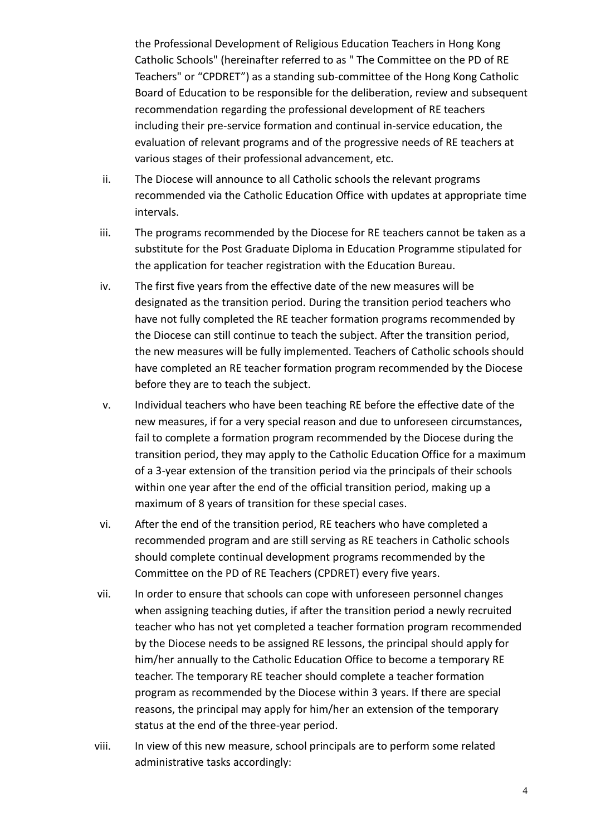the Professional Development of Religious Education Teachers in Hong Kong Catholic Schools" (hereinafter referred to as " The Committee on the PD of RE Teachers" or "CPDRET") as a standing sub-committee of the Hong Kong Catholic Board of Education to be responsible for the deliberation, review and subsequent recommendation regarding the professional development of RE teachers including their pre-service formation and continual in-service education, the evaluation of relevant programs and of the progressive needs of RE teachers at various stages of their professional advancement, etc.

- ii. The Diocese will announce to all Catholic schools the relevant programs recommended via the Catholic Education Office with updates at appropriate time intervals.
- iii. The programs recommended by the Diocese for RE teachers cannot be taken as a substitute for the Post Graduate Diploma in Education Programme stipulated for the application for teacher registration with the Education Bureau.
- iv. The first five years from the effective date of the new measures will be designated as the transition period. During the transition period teachers who have not fully completed the RE teacher formation programs recommended by the Diocese can still continue to teach the subject. After the transition period, the new measures will be fully implemented. Teachers of Catholic schools should have completed an RE teacher formation program recommended by the Diocese before they are to teach the subject.
- v. Individual teachers who have been teaching RE before the effective date of the new measures, if for a very special reason and due to unforeseen circumstances, fail to complete a formation program recommended by the Diocese during the transition period, they may apply to the Catholic Education Office for a maximum of a 3-year extension of the transition period via the principals of their schools within one year after the end of the official transition period, making up a maximum of 8 years of transition for these special cases.
- vi. After the end of the transition period, RE teachers who have completed a recommended program and are still serving as RE teachers in Catholic schools should complete continual development programs recommended by the Committee on the PD of RE Teachers (CPDRET) every five years.
- vii. In order to ensure that schools can cope with unforeseen personnel changes when assigning teaching duties, if after the transition period a newly recruited teacher who has not yet completed a teacher formation program recommended by the Diocese needs to be assigned RE lessons, the principal should apply for him/her annually to the Catholic Education Office to become a temporary RE teacher. The temporary RE teacher should complete a teacher formation program as recommended by the Diocese within 3 years. If there are special reasons, the principal may apply for him/her an extension of the temporary status at the end of the three-year period.
- viii. In view of this new measure, school principals are to perform some related administrative tasks accordingly: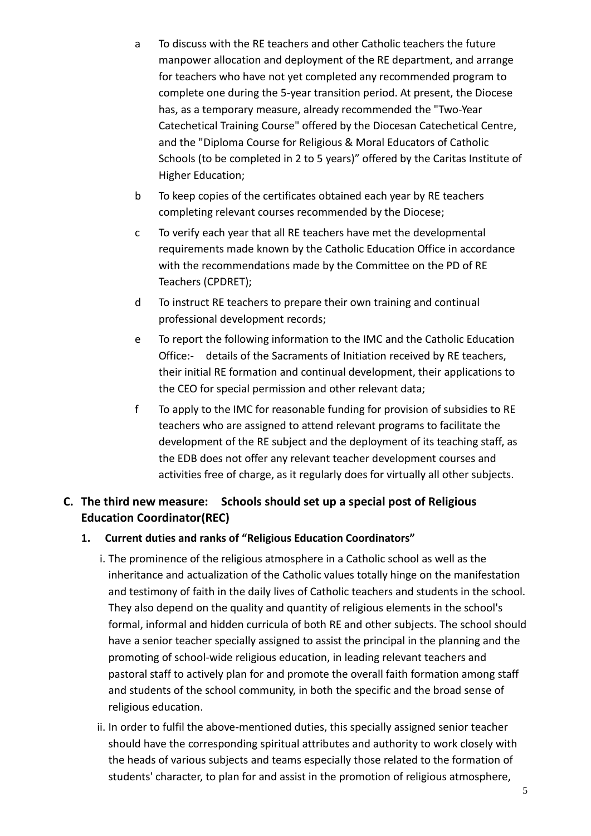- a To discuss with the RE teachers and other Catholic teachers the future manpower allocation and deployment of the RE department, and arrange for teachers who have not yet completed any recommended program to complete one during the 5-year transition period. At present, the Diocese has, as a temporary measure, already recommended the "Two-Year Catechetical Training Course" offered by the Diocesan Catechetical Centre, and the "Diploma Course for Religious & Moral Educators of Catholic Schools (to be completed in 2 to 5 years)" offered by the Caritas Institute of Higher Education;
- b To keep copies of the certificates obtained each year by RE teachers completing relevant courses recommended by the Diocese;
- c To verify each year that all RE teachers have met the developmental requirements made known by the Catholic Education Office in accordance with the recommendations made by the Committee on the PD of RE Teachers (CPDRET);
- d To instruct RE teachers to prepare their own training and continual professional development records;
- e To report the following information to the IMC and the Catholic Education Office:- details of the Sacraments of Initiation received by RE teachers, their initial RE formation and continual development, their applications to the CEO for special permission and other relevant data;
- f To apply to the IMC for reasonable funding for provision of subsidies to RE teachers who are assigned to attend relevant programs to facilitate the development of the RE subject and the deployment of its teaching staff, as the EDB does not offer any relevant teacher development courses and activities free of charge, as it regularly does for virtually all other subjects.

## **C. The third new measure: Schools should set up a special post of Religious Education Coordinator(REC)**

## **1. Current duties and ranks of "Religious Education Coordinators"**

- i. The prominence of the religious atmosphere in a Catholic school as well as the inheritance and actualization of the Catholic values totally hinge on the manifestation and testimony of faith in the daily lives of Catholic teachers and students in the school. They also depend on the quality and quantity of religious elements in the school's formal, informal and hidden curricula of both RE and other subjects. The school should have a senior teacher specially assigned to assist the principal in the planning and the promoting of school-wide religious education, in leading relevant teachers and pastoral staff to actively plan for and promote the overall faith formation among staff and students of the school community, in both the specific and the broad sense of religious education.
- ii. In order to fulfil the above-mentioned duties, this specially assigned senior teacher should have the corresponding spiritual attributes and authority to work closely with the heads of various subjects and teams especially those related to the formation of students' character, to plan for and assist in the promotion of religious atmosphere,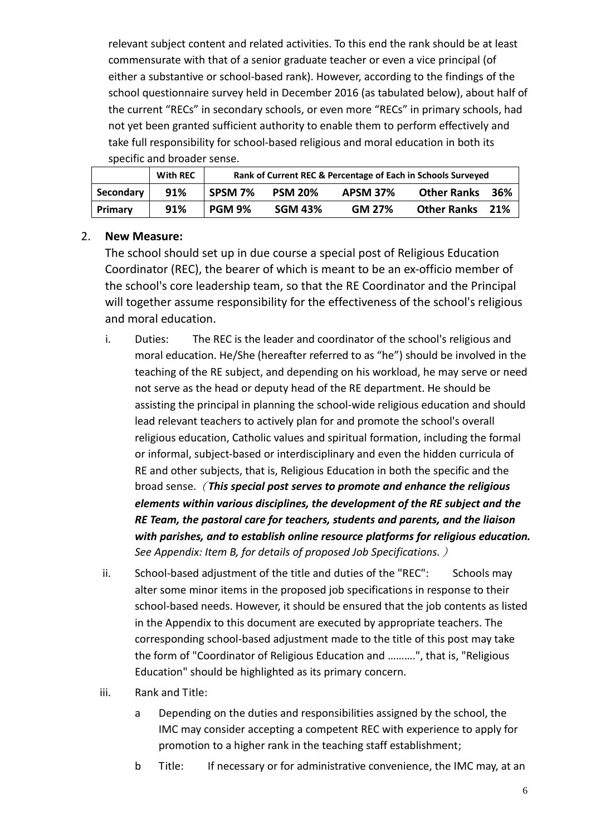relevant subject content and related activities. To this end the rank should be at least commensurate with that of a senior graduate teacher or even a vice principal (of either a substantive or school-based rank). However, according to the findings of the school questionnaire survey held in December 2016 (as tabulated below), about half of the current "RECs" in secondary schools, or even more "RECs" in primary schools, had not yet been granted sufficient authority to enable them to perform effectively and take full responsibility for school-based religious and moral education in both its specific and broader sense.

|           | <b>With REC</b> | Rank of Current REC & Percentage of Each in Schools Surveyed |                |                 |                    |     |
|-----------|-----------------|--------------------------------------------------------------|----------------|-----------------|--------------------|-----|
| Secondary | 91%             | SPSM 7%                                                      | <b>PSM 20%</b> | <b>APSM 37%</b> | <b>Other Ranks</b> | 36% |
| Primary   | 91%             | <b>PGM 9%</b>                                                | <b>SGM 43%</b> | GM 27%          | <b>Other Ranks</b> | 21% |

### 2. **New Measure:**

The school should set up in due course a special post of Religious Education Coordinator (REC), the bearer of which is meant to be an ex-officio member of the school's core leadership team, so that the RE Coordinator and the Principal will together assume responsibility for the effectiveness of the school's religious and moral education.

- i. Duties: The REC is the leader and coordinator of the school's religious and moral education. He/She (hereafter referred to as "he") should be involved in the teaching of the RE subject, and depending on his workload, he may serve or need not serve as the head or deputy head of the RE department. He should be assisting the principal in planning the school-wide religious education and should lead relevant teachers to actively plan for and promote the school's overall religious education, Catholic values and spiritual formation, including the formal or informal, subject-based or interdisciplinary and even the hidden curricula of RE and other subjects, that is, Religious Education in both the specific and the broad sense.(*This special post serves to promote and enhance the religious elements within various disciplines, the development of the RE subject and the RE Team, the pastoral care for teachers, students and parents, and the liaison with parishes, and to establish online resource platforms for religious education. See Appendix: Item B, for details of proposed Job Specifications.*)
- ii. School-based adjustment of the title and duties of the "REC": Schools may alter some minor items in the proposed job specifications in response to their school-based needs. However, it should be ensured that the job contents as listed in the Appendix to this document are executed by appropriate teachers. The corresponding school-based adjustment made to the title of this post may take the form of "Coordinator of Religious Education and ……….", that is, "Religious Education" should be highlighted as its primary concern.
- iii. Rank and Title:
	- a Depending on the duties and responsibilities assigned by the school, the IMC may consider accepting a competent REC with experience to apply for promotion to a higher rank in the teaching staff establishment;
	- b Title: If necessary or for administrative convenience, the IMC may, at an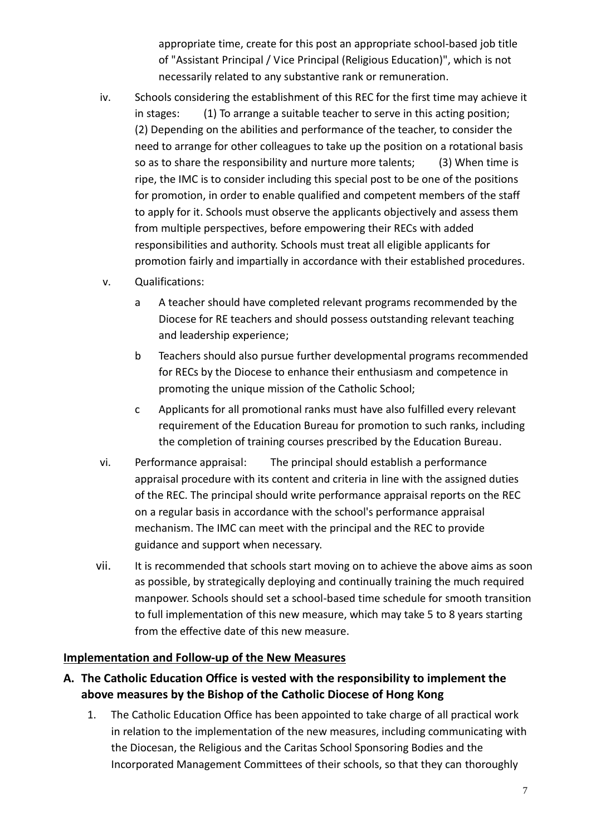appropriate time, create for this post an appropriate school-based job title of "Assistant Principal / Vice Principal (Religious Education)", which is not necessarily related to any substantive rank or remuneration.

- iv. Schools considering the establishment of this REC for the first time may achieve it in stages: (1) To arrange a suitable teacher to serve in this acting position; (2) Depending on the abilities and performance of the teacher, to consider the need to arrange for other colleagues to take up the position on a rotational basis so as to share the responsibility and nurture more talents; (3) When time is ripe, the IMC is to consider including this special post to be one of the positions for promotion, in order to enable qualified and competent members of the staff to apply for it. Schools must observe the applicants objectively and assess them from multiple perspectives, before empowering their RECs with added responsibilities and authority. Schools must treat all eligible applicants for promotion fairly and impartially in accordance with their established procedures.
- v. Qualifications:
	- a A teacher should have completed relevant programs recommended by the Diocese for RE teachers and should possess outstanding relevant teaching and leadership experience;
	- b Teachers should also pursue further developmental programs recommended for RECs by the Diocese to enhance their enthusiasm and competence in promoting the unique mission of the Catholic School;
	- c Applicants for all promotional ranks must have also fulfilled every relevant requirement of the Education Bureau for promotion to such ranks, including the completion of training courses prescribed by the Education Bureau.
- vi. Performance appraisal: The principal should establish a performance appraisal procedure with its content and criteria in line with the assigned duties of the REC. The principal should write performance appraisal reports on the REC on a regular basis in accordance with the school's performance appraisal mechanism. The IMC can meet with the principal and the REC to provide guidance and support when necessary.
- vii. It is recommended that schools start moving on to achieve the above aims as soon as possible, by strategically deploying and continually training the much required manpower. Schools should set a school-based time schedule for smooth transition to full implementation of this new measure, which may take 5 to 8 years starting from the effective date of this new measure.

## **Implementation and Follow-up of the New Measures**

- **A. The Catholic Education Office is vested with the responsibility to implement the above measures by the Bishop of the Catholic Diocese of Hong Kong** 
	- 1. The Catholic Education Office has been appointed to take charge of all practical work in relation to the implementation of the new measures, including communicating with the Diocesan, the Religious and the Caritas School Sponsoring Bodies and the Incorporated Management Committees of their schools, so that they can thoroughly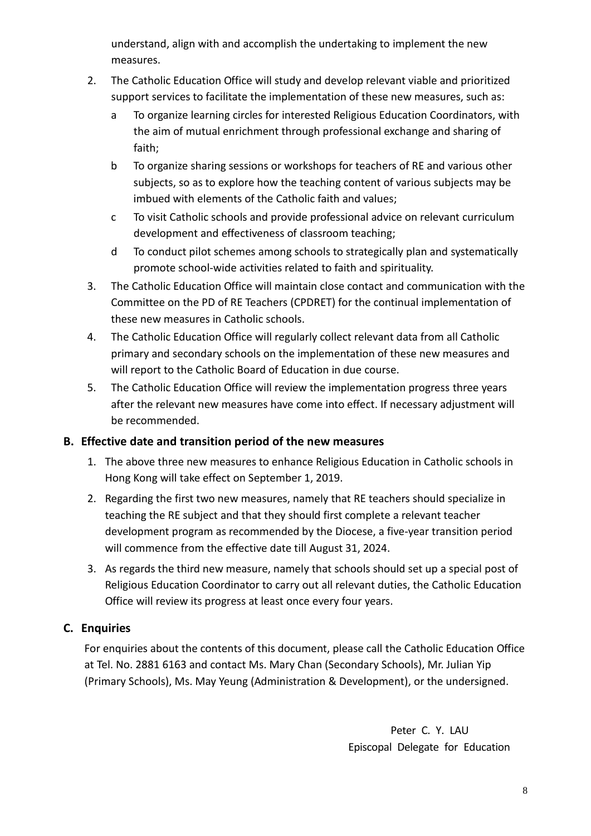understand, align with and accomplish the undertaking to implement the new measures.

- 2. The Catholic Education Office will study and develop relevant viable and prioritized support services to facilitate the implementation of these new measures, such as:
	- a To organize learning circles for interested Religious Education Coordinators, with the aim of mutual enrichment through professional exchange and sharing of faith;
	- b To organize sharing sessions or workshops for teachers of RE and various other subjects, so as to explore how the teaching content of various subjects may be imbued with elements of the Catholic faith and values;
	- c To visit Catholic schools and provide professional advice on relevant curriculum development and effectiveness of classroom teaching;
	- d To conduct pilot schemes among schools to strategically plan and systematically promote school-wide activities related to faith and spirituality.
- 3. The Catholic Education Office will maintain close contact and communication with the Committee on the PD of RE Teachers (CPDRET) for the continual implementation of these new measures in Catholic schools.
- 4. The Catholic Education Office will regularly collect relevant data from all Catholic primary and secondary schools on the implementation of these new measures and will report to the Catholic Board of Education in due course.
- 5. The Catholic Education Office will review the implementation progress three years after the relevant new measures have come into effect. If necessary adjustment will be recommended.

## **B. Effective date and transition period of the new measures**

- 1. The above three new measures to enhance Religious Education in Catholic schools in Hong Kong will take effect on September 1, 2019.
- 2. Regarding the first two new measures, namely that RE teachers should specialize in teaching the RE subject and that they should first complete a relevant teacher development program as recommended by the Diocese, a five-year transition period will commence from the effective date till August 31, 2024.
- 3. As regards the third new measure, namely that schools should set up a special post of Religious Education Coordinator to carry out all relevant duties, the Catholic Education Office will review its progress at least once every four years.

## **C. Enquiries**

For enquiries about the contents of this document, please call the Catholic Education Office at Tel. No. 2881 6163 and contact Ms. Mary Chan (Secondary Schools), Mr. Julian Yip (Primary Schools), Ms. May Yeung (Administration & Development), or the undersigned.

> Peter C. Y. LAU Episcopal Delegate for Education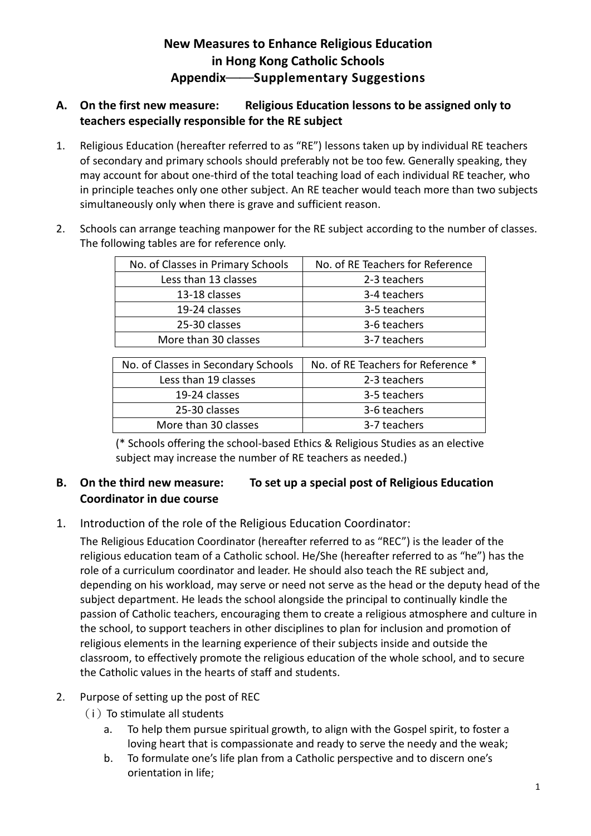## **New Measures to Enhance Religious Education in Hong Kong Catholic Schools Appendix**――**Supplementary Suggestions**

## **A. On the first new measure: Religious Education lessons to be assigned only to teachers especially responsible for the RE subject**

1. Religious Education (hereafter referred to as "RE") lessons taken up by individual RE teachers of secondary and primary schools should preferably not be too few. Generally speaking, they may account for about one-third of the total teaching load of each individual RE teacher, who in principle teaches only one other subject. An RE teacher would teach more than two subjects simultaneously only when there is grave and sufficient reason.

| No. of Classes in Primary Schools   | No. of RE Teachers for Reference   |  |  |
|-------------------------------------|------------------------------------|--|--|
| Less than 13 classes                | 2-3 teachers                       |  |  |
| 13-18 classes                       | 3-4 teachers                       |  |  |
| 19-24 classes                       | 3-5 teachers                       |  |  |
| 25-30 classes                       | 3-6 teachers                       |  |  |
| More than 30 classes                | 3-7 teachers                       |  |  |
|                                     |                                    |  |  |
| No. of Classes in Secondary Schools | No. of RE Teachers for Reference * |  |  |
| Less than 19 classes                | 2-3 teachers                       |  |  |
| 19-24 classes                       | 3-5 teachers                       |  |  |
| 25-30 classes                       | 3-6 teachers                       |  |  |
| More than 30 classes                | 3-7 teachers                       |  |  |

2. Schools can arrange teaching manpower for the RE subject according to the number of classes. The following tables are for reference only.

> (\* Schools offering the school-based Ethics & Religious Studies as an elective subject may increase the number of RE teachers as needed.)

## **B. On the third new measure: To set up a special post of Religious Education Coordinator in due course**

## 1. Introduction of the role of the Religious Education Coordinator:

The Religious Education Coordinator (hereafter referred to as "REC") is the leader of the religious education team of a Catholic school. He/She (hereafter referred to as "he") has the role of a curriculum coordinator and leader. He should also teach the RE subject and, depending on his workload, may serve or need not serve as the head or the deputy head of the subject department. He leads the school alongside the principal to continually kindle the passion of Catholic teachers, encouraging them to create a religious atmosphere and culture in the school, to support teachers in other disciplines to plan for inclusion and promotion of religious elements in the learning experience of their subjects inside and outside the classroom, to effectively promote the religious education of the whole school, and to secure the Catholic values in the hearts of staff and students.

## 2. Purpose of setting up the post of REC

- $(i)$  To stimulate all students
	- a. To help them pursue spiritual growth, to align with the Gospel spirit, to foster a loving heart that is compassionate and ready to serve the needy and the weak;
	- b. To formulate one's life plan from a Catholic perspective and to discern one's orientation in life;